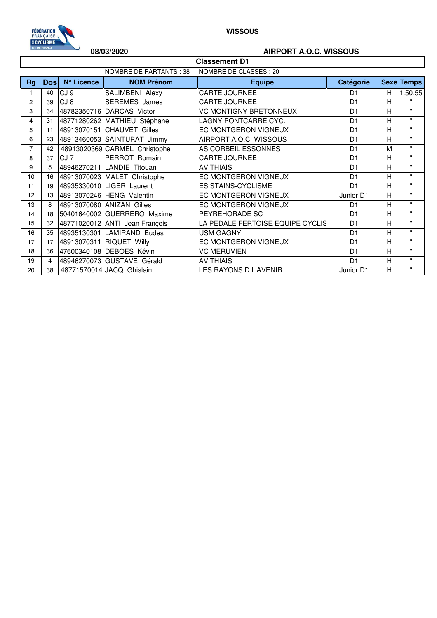

## **08/03/2020 AIRPORT A.O.C. WISSOUS**

| <b>Classement D1</b> |                                                   |                 |                                |                                  |                |                |                   |  |  |
|----------------------|---------------------------------------------------|-----------------|--------------------------------|----------------------------------|----------------|----------------|-------------------|--|--|
|                      | NOMBRE DE PARTANTS : 38<br>NOMBRE DE CLASSES : 20 |                 |                                |                                  |                |                |                   |  |  |
| <b>Rg</b>            | <b>Dosl</b>                                       | N° Licence      | <b>NOM Prénom</b>              | <b>Equipe</b>                    | Catégorie      |                | <b>Sexe Temps</b> |  |  |
| 1                    | 40                                                | CJ <sub>9</sub> | SALIMBENI Alexy                | <b>CARTE JOURNEE</b>             | D <sub>1</sub> | Н              | 1.50.55           |  |  |
| $\overline{c}$       | 39                                                | CJ <sub>8</sub> | <b>SEREMES</b> James           | <b>CARTE JOURNEE</b>             | D <sub>1</sub> | H              | $\mathbf{H}$      |  |  |
| 3                    | 34                                                |                 | 48782350716 DARCAS Victor      | <b>VC MONTIGNY BRETONNEUX</b>    | D <sub>1</sub> | Н              | $\mathbf{u}$      |  |  |
| 4                    | 31                                                |                 | 48771280262 MATHIEU Stéphane   | LAGNY PONTCARRE CYC.             | D <sub>1</sub> | Η              | $\mathbf{H}$      |  |  |
| 5                    | 11                                                |                 | 48913070151 CHAUVET Gilles     | EC MONTGERON VIGNEUX             | D <sub>1</sub> | Н              | $\mathbf{u}$      |  |  |
| 6                    | 23                                                |                 | 48913460053 SAINTURAT Jimmy    | AIRPORT A.O.C. WISSOUS           | D <sub>1</sub> | Н              | $\mathbf{H}$      |  |  |
| $\overline{7}$       | 42                                                |                 | 48913020369 CARMEL Christophe  | AS CORBEIL ESSONNES              | D <sub>1</sub> | M              | $\mathbf{u}$      |  |  |
| 8                    | 37                                                | CJ <sub>7</sub> | PERROT Romain                  | CARTE JOURNEE                    | D <sub>1</sub> | Н              | $\mathbf{H}$      |  |  |
| 9                    | 5                                                 |                 | 48946270211 LANDIE Titouan     | <b>AV THIAIS</b>                 | D <sub>1</sub> | Н              | $\mathbf{H}$      |  |  |
| 10                   | 16                                                |                 | 48913070023 MALET Christophe   | EC MONTGERON VIGNEUX             | D <sub>1</sub> | Η              | $\mathbf{H}$      |  |  |
| 11                   | 19                                                |                 | 48935330010 LIGER Laurent      | <b>ES STAINS-CYCLISME</b>        | D <sub>1</sub> | H              | $\mathbf{u}$      |  |  |
| 12                   | 13                                                |                 | 48913070246 HENG Valentin      | EC MONTGERON VIGNEUX             | Junior D1      | H              | $\mathbf{H}$      |  |  |
| 13                   | 8                                                 |                 | 48913070080 ANIZAN Gilles      | EC MONTGERON VIGNEUX             | D <sub>1</sub> | H              | $\mathbf{u}$      |  |  |
| 14                   | 18                                                |                 | 50401640002 GUERRERO Maxime    | PEYREHORADE SC                   | D <sub>1</sub> | H              | $\mathbf{u}$      |  |  |
| 15                   | 32                                                |                 | 48771020012 ANTI Jean François | LA PÉDALE FERTOISE EQUIPE CYCLIS | D <sub>1</sub> | $\overline{H}$ | $\mathbf{u}$      |  |  |
| 16                   | 35                                                |                 | 48935130301 LAMIRAND Eudes     | <b>USM GAGNY</b>                 | D <sub>1</sub> | Н              | $\mathbf{H}$      |  |  |
| 17                   | 17                                                |                 | 48913070311 RIQUET Willy       | EC MONTGERON VIGNEUX             | D <sub>1</sub> | н              | $\mathbf{H}$      |  |  |
| 18                   | 36                                                |                 | 47600340108 DEBOES Kévin       | <b>VC MERUVIEN</b>               | D <sub>1</sub> | Н              | $\mathbf{u}$      |  |  |
| 19                   | $\overline{4}$                                    |                 | 48946270073 GUSTAVE Gérald     | <b>AV THIAIS</b>                 | D <sub>1</sub> | H              | $\mathbf{H}$      |  |  |
| 20                   | 38                                                |                 | 48771570014 JACQ Ghislain      | LES RAYONS D L'AVENIR            | Junior D1      | Η              | $\mathbf{H}$      |  |  |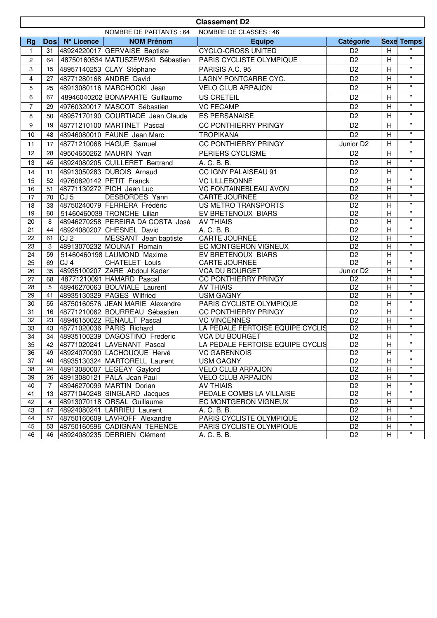|                 | <b>Classement D2</b>                             |                 |                                                             |                                                      |                                   |                           |                                    |  |
|-----------------|--------------------------------------------------|-----------------|-------------------------------------------------------------|------------------------------------------------------|-----------------------------------|---------------------------|------------------------------------|--|
|                 | NOMBRE DE PARTANTS: 64<br>NOMBRE DE CLASSES : 46 |                 |                                                             |                                                      |                                   |                           |                                    |  |
| <b>Rg</b>       |                                                  | Dos N° Licence  | <b>NOM Prénom</b>                                           | <b>Equipe</b>                                        | Catégorie                         |                           | <b>Sexe Temps</b>                  |  |
| 1               | 31                                               |                 | 48924220017 GERVAISE Baptiste                               | <b>CYCLO-CROSS UNITED</b>                            | D <sub>2</sub>                    | H                         |                                    |  |
| $\overline{c}$  | 64                                               |                 | 48750160534 MATUSZEWSKI Sébastien                           | PARIS CYCLISTE OLYMPIQUE                             | D <sub>2</sub>                    | $\overline{H}$            | $\mathbf{H}$                       |  |
| 3               | 15                                               |                 | 48957140253 CLAY Stéphane                                   | PARISIS A.C. 95                                      | D <sub>2</sub>                    | H                         | $\mathbf{u}$                       |  |
| $\overline{4}$  | 27                                               |                 | 48771280168 ANDRE David                                     | LAGNY PONTCARRE CYC.                                 | D <sub>2</sub>                    | $\overline{H}$            | $\mathbf{H}$                       |  |
| 5               | 25                                               |                 | 48913080116 MARCHOCKI Jean                                  | <b>VELO CLUB ARPAJON</b>                             | D <sub>2</sub>                    | H                         | $\mathbf{H}$                       |  |
| 6               | 67                                               |                 | 48946040202 BONAPARTE Guillaume                             | <b>US CRETEIL</b>                                    | D <sub>2</sub>                    | $\overline{H}$            | $\mathbf{H}$                       |  |
| $\overline{7}$  | 29                                               |                 | 49760320017 MASCOT Sébastien                                | <b>VC FECAMP</b>                                     | D <sub>2</sub>                    | H                         | $\pmb{\mathsf{H}}$                 |  |
| 8               | 50                                               |                 | 48957170190 COURTIADE Jean Claude                           | <b>ES PERSANAISE</b>                                 | D <sub>2</sub>                    | $\overline{H}$            | $\mathbf{H}$                       |  |
|                 |                                                  |                 |                                                             |                                                      |                                   |                           | $\pmb{\mathsf{H}}$                 |  |
| 9               | 19                                               |                 | 48771210100 MARTINET Pascal                                 | CC PONTHIERRY PRINGY                                 | D <sub>2</sub>                    | $\overline{H}$            | $\mathbf{H}$                       |  |
| 10              | 48                                               |                 | 48946080010 FAUNE Jean Marc                                 | <b>TROPIKANA</b>                                     | D <sub>2</sub>                    | $\overline{H}$            |                                    |  |
| 11              | 17                                               |                 | 48771210068 HAGUE Samuel                                    | CC PONTHIERRY PRINGY                                 | Junior D <sub>2</sub>             | H                         | $\mathbf{u}$                       |  |
| 12              | 28                                               |                 | 49504650262 MAURIN Yvan                                     | PERIERS CYCLISME                                     | D <sub>2</sub>                    | H                         | $\mathbf{H}$                       |  |
| 13              | 45                                               |                 | 48924080205 CUILLERET Bertrand                              | A. C. B. B.                                          | D <sub>2</sub>                    | $\mathsf{H}$              | $\mathbf{H}$                       |  |
| 14              | 11                                               |                 | 48913050283 DUBOIS Arnaud                                   | CC IGNY PALAISEAU 91                                 | D <sub>2</sub>                    | H                         | $\mathbf{H}$                       |  |
| 15              | 52                                               |                 | 49760820142 PETIT Franck                                    | <b>VC LILLEBONNE</b>                                 | D <sub>2</sub>                    | $\mathsf{H}$              | $\mathbf{H}$                       |  |
| 16              | 51                                               |                 | 48771130272 PICH Jean Luc                                   | <b>VC FONTAINEBLEAU AVON</b>                         | $\overline{D2}$                   | $\overline{H}$            | $\mathbf{H}$                       |  |
| 17              | 70                                               | CJ <sub>5</sub> | DESBORDES Yann                                              | CARTE JOURNEE                                        | $\overline{D2}$                   | $\overline{H}$            | $\mathbf{H}$                       |  |
| 18              | 33                                               |                 | 48750240079 FERRERA Frédéric                                | US METRO TRANSPORTS                                  | D <sub>2</sub>                    | $\mathsf{H}$              | $\mathbf{H}$                       |  |
| 19              | 60                                               |                 | 51460460039 TRONCHE Lilian                                  | EV BRETENOUX BIARS                                   | D <sub>2</sub>                    | $\overline{H}$            | $\mathbf{H}$                       |  |
| 20              | 8                                                |                 | 48946270258 PEREIRA DA COSTA José                           | <b>AV THIAIS</b>                                     | D <sub>2</sub>                    | $\overline{H}$            | $\pmb{\mathsf{H}}$<br>$\mathbf{H}$ |  |
| 21              | 44                                               |                 | 48924080207 CHESNEL David                                   | A. C. B. B.                                          | D <sub>2</sub>                    | H                         | $\mathbf{H}$                       |  |
| 22              | 61                                               | CJ <sub>2</sub> | MESSANT Jean baptiste                                       | CARTE JOURNEE                                        | D <sub>2</sub>                    | $\mathsf{H}$              | $\mathbf{H}$                       |  |
| 23<br>24        | 3<br>59                                          |                 | 48913070232 MOUNAT Romain                                   | EC MONTGERON VIGNEUX                                 | D <sub>2</sub><br>$\overline{D2}$ | H<br>$\overline{H}$       | $\mathbf{H}$                       |  |
| 25              | 69                                               | CJ <sub>4</sub> | 51460460198 LAUMOND Maxime<br><b>CHATELET Louis</b>         | EV BRETENOUX BIARS<br>CARTE JOURNEE                  | D <sub>2</sub>                    | Н                         | $\overline{\mathbf{u}}$            |  |
| 26              | 35                                               |                 | 48935100207 ZARE Abdoul Kader                               | <b>VCA DU BOURGET</b>                                | Junior D <sub>2</sub>             | $\overline{H}$            | $\mathbf{H}$                       |  |
| 27              | 68                                               |                 | 48771210091 HAMARD Pascal                                   | CC PONTHIERRY PRINGY                                 | D <sub>2</sub>                    | H                         | $\mathbf{H}$                       |  |
| 28              | 5                                                |                 | 48946270063 BOUVIALE Laurent                                | <b>AV THIAIS</b>                                     | D <sub>2</sub>                    | H                         | $\mathbf{H}$                       |  |
| 29              | 41                                               |                 | 48935130329 PAGES Wilfried                                  | <b>USM GAGNY</b>                                     | D <sub>2</sub>                    | $\mathsf{H}$              | $\pmb{\mathsf{H}}$                 |  |
| 30              | 55                                               |                 | 48750160576 JEAN MARIE Alexandre                            | PARIS CYCLISTE OLYMPIQUE                             | $\overline{D2}$                   | $\overline{H}$            | $\mathbf{H}$                       |  |
| 31              | 16                                               |                 | 48771210062 BOURREAU Sébastien                              | <b>CC PONTHIERRY PRINGY</b>                          | D <sub>2</sub>                    | $\overline{H}$            | $\mathbf{H}$                       |  |
| 32              | 23                                               |                 | 48946150022 RENAULT Pascal                                  | <b>VC VINCENNES</b>                                  | D <sub>2</sub>                    | $\overline{H}$            | $\mathbf{H}$                       |  |
| 33              | 43                                               |                 | 48771020036 PARIS Richard                                   | LA PÉDALE FERTOISE EQUIPE CYCLIS                     | $\overline{D2}$                   | $\mathsf{H}$              | $\mathbf{H}$                       |  |
| $\overline{34}$ | 34                                               |                 | 48935100239 DAGOSTINO Frederic                              | <b>VCA DU BOURGET</b>                                | $\overline{D2}$                   | $\overline{H}$            | $\overline{\mathbf{u}}$            |  |
| 35              | 42                                               |                 | 48771020241 LAVENANT Pascal                                 | LA PÉDALE FERTOISE EQUIPE CYCLIS                     | D <sub>2</sub>                    | $\boldsymbol{\mathsf{H}}$ | $\mathbf{H}$                       |  |
| 36              | 49                                               |                 | 48924070090 LACHOUQUE Hervé                                 | <b>VC GARENNOIS</b>                                  | D <sub>2</sub>                    | н                         | $\pmb{\mathsf{H}}$                 |  |
| 37              | 40                                               |                 | 48935130324 MARTORELL Laurent                               | <b>USM GAGNY</b>                                     | D <sub>2</sub>                    | Н                         |                                    |  |
| 38              | 24                                               |                 | 48913080007 LEGEAY Gaylord                                  | <b>VELO CLUB ARPAJON</b>                             | D <sub>2</sub>                    | $\mathsf{H}$              | $\pmb{\mathsf{H}}$                 |  |
| 39              | 26                                               |                 | 48913080121 PALA Jean Paul                                  | <b>VELO CLUB ARPAJON</b>                             | $\overline{D2}$                   | $\mathsf{H}$              | $\mathbf{H}$                       |  |
| 40              | $\overline{7}$                                   |                 | 48946270099 MARTIN Dorian                                   | <b>AV THIAIS</b>                                     | D <sub>2</sub>                    | Η                         | $\mathbf{H}$<br>$\mathbf{H}$       |  |
| 41              | 13                                               |                 | 48771040248 SINGLARD Jacques                                | PEDALE COMBS LA VILLAISE                             | D <sub>2</sub>                    | $\mathsf{H}$              | $\pmb{\mathsf{H}}$                 |  |
| 42              | $\overline{4}$                                   |                 | 48913070118 ORSAL Guillaume                                 | EC MONTGERON VIGNEUX                                 | D <sub>2</sub>                    | $\mathsf{H}$              | $\pmb{\mathsf{H}}$                 |  |
| 43              | 47                                               |                 | 48924080241 LARRIEU Laurent                                 | A. C. B. B.                                          | D <sub>2</sub>                    | H                         | $\mathbf{H}$                       |  |
| 44              | 57                                               |                 | 48750160609 LAVROFF Alexandre                               | PARIS CYCLISTE OLYMPIQUE<br>PARIS CYCLISTE OLYMPIQUE | D <sub>2</sub><br>D <sub>2</sub>  | Н                         | $\pmb{\mathsf{H}}$                 |  |
| 45<br>46        | 53<br>46                                         |                 | 48750160596 CADIGNAN TERENCE<br>48924080235 DERRIEN Clément | A. C. B. B.                                          | D <sub>2</sub>                    | Н<br>Н                    | $\mathbf{H}$                       |  |
|                 |                                                  |                 |                                                             |                                                      |                                   |                           |                                    |  |